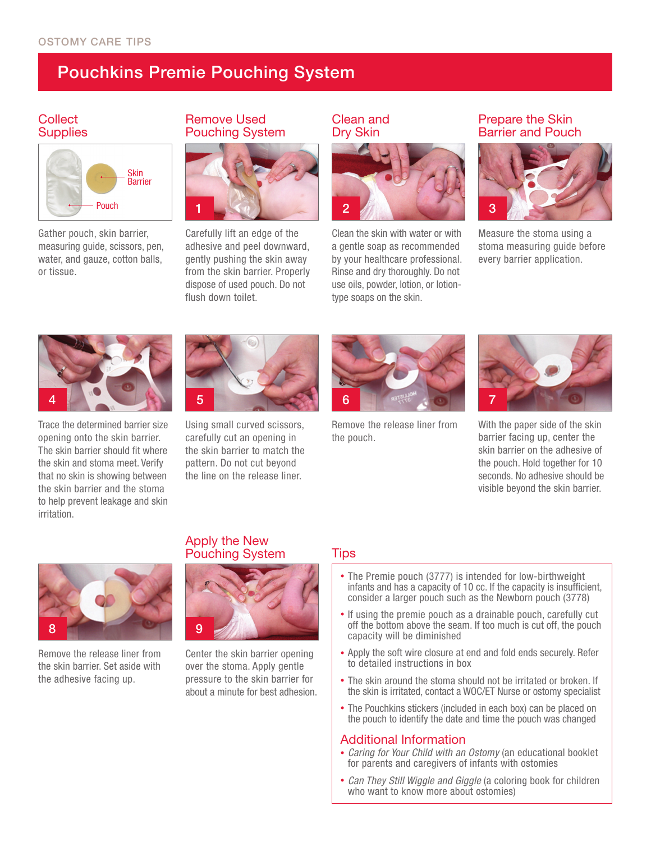# Pouchkins Premie Pouching System

### **Collect Supplies**



Gather pouch, skin barrier, measuring guide, scissors, pen, water, and gauze, cotton balls, or tissue.

## Remove Used Pouching System



Carefully lift an edge of the adhesive and peel downward, gently pushing the skin away from the skin barrier. Properly dispose of used pouch. Do not flush down toilet.

### Clean and Dry Skin



Clean the skin with water or with a gentle soap as recommended by your healthcare professional. Rinse and dry thoroughly. Do not use oils, powder, lotion, or lotiontype soaps on the skin.

### Prepare the Skin Barrier and Pouch



Measure the stoma using a stoma measuring guide before every barrier application.



Trace the determined barrier size opening onto the skin barrier. The skin barrier should fit where the skin and stoma meet. Verify that no skin is showing between the skin barrier and the stoma to help prevent leakage and skin irritation.



Using small curved scissors, carefully cut an opening in the skin barrier to match the pattern. Do not cut beyond the line on the release liner.



Remove the release liner from the pouch.



With the paper side of the skin barrier facing up, center the skin barrier on the adhesive of the pouch. Hold together for 10 seconds. No adhesive should be visible beyond the skin barrier.



Remove the release liner from the skin barrier. Set aside with the adhesive facing up.

## Apply the New Pouching System Tips



Center the skin barrier opening over the stoma. Apply gentle pressure to the skin barrier for about a minute for best adhesion.

- The Premie pouch (3777) is intended for low-birthweight infants and has a capacity of 10 cc. If the capacity is insufficient, consider a larger pouch such as the Newborn pouch (3778)
- If using the premie pouch as a drainable pouch, carefully cut off the bottom above the seam. If too much is cut off, the pouch capacity will be diminished
- Apply the soft wire closure at end and fold ends securely. Refer to detailed instructions in box
- The skin around the stoma should not be irritated or broken. If the skin is irritated, contact a WOC/ET Nurse or ostomy specialist
- The Pouchkins stickers (included in each box) can be placed on the pouch to identify the date and time the pouch was changed

### Additional Information

- *Caring for Your Child with an Ostomy* (an educational booklet for parents and caregivers of infants with ostomies
- *Can They Still Wiggle and Giggle* (a coloring book for children who want to know more about ostomies)